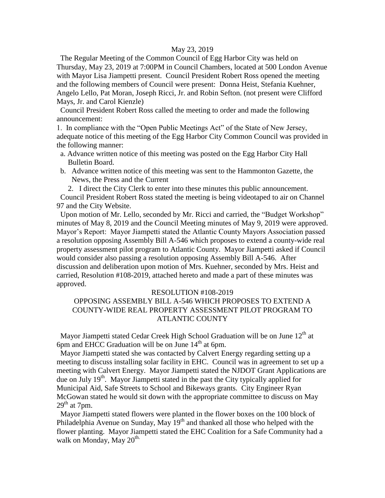## May 23, 2019

 The Regular Meeting of the Common Council of Egg Harbor City was held on Thursday, May 23, 2019 at 7:00PM in Council Chambers, located at 500 London Avenue with Mayor Lisa Jiampetti present. Council President Robert Ross opened the meeting and the following members of Council were present: Donna Heist, Stefania Kuehner, Angelo Lello, Pat Moran, Joseph Ricci, Jr. and Robin Sefton. (not present were Clifford Mays, Jr. and Carol Kienzle)

 Council President Robert Ross called the meeting to order and made the following announcement:

1. In compliance with the "Open Public Meetings Act" of the State of New Jersey, adequate notice of this meeting of the Egg Harbor City Common Council was provided in the following manner:

- a. Advance written notice of this meeting was posted on the Egg Harbor City Hall Bulletin Board.
- b. Advance written notice of this meeting was sent to the Hammonton Gazette, the News, the Press and the Current

2. I direct the City Clerk to enter into these minutes this public announcement. Council President Robert Ross stated the meeting is being videotaped to air on Channel 97 and the City Website.

 Upon motion of Mr. Lello, seconded by Mr. Ricci and carried, the "Budget Workshop" minutes of May 8, 2019 and the Council Meeting minutes of May 9, 2019 were approved. Mayor's Report: Mayor Jiampetti stated the Atlantic County Mayors Association passed a resolution opposing Assembly Bill A-546 which proposes to extend a county-wide real property assessment pilot program to Atlantic County. Mayor Jiampetti asked if Council would consider also passing a resolution opposing Assembly Bill A-546. After discussion and deliberation upon motion of Mrs. Kuehner, seconded by Mrs. Heist and carried, Resolution #108-2019, attached hereto and made a part of these minutes was approved.

#### RESOLUTION #108-2019

# OPPOSING ASSEMBLY BILL A-546 WHICH PROPOSES TO EXTEND A COUNTY-WIDE REAL PROPERTY ASSESSMENT PILOT PROGRAM TO ATLANTIC COUNTY

Mayor Jiampetti stated Cedar Creek High School Graduation will be on June 12<sup>th</sup> at 6pm and EHCC Graduation will be on June  $14<sup>th</sup>$  at 6pm.

 Mayor Jiampetti stated she was contacted by Calvert Energy regarding setting up a meeting to discuss installing solar facility in EHC. Council was in agreement to set up a meeting with Calvert Energy. Mayor Jiampetti stated the NJDOT Grant Applications are due on July  $19<sup>th</sup>$ . Mayor Jiampetti stated in the past the City typically applied for Municipal Aid, Safe Streets to School and Bikeways grants. City Engineer Ryan McGowan stated he would sit down with the appropriate committee to discuss on May  $29<sup>th</sup>$  at 7pm.

 Mayor Jiampetti stated flowers were planted in the flower boxes on the 100 block of Philadelphia Avenue on Sunday, May  $19<sup>th</sup>$  and thanked all those who helped with the flower planting. Mayor Jiampetti stated the EHC Coalition for a Safe Community had a walk on Monday, May  $20^{\text{th}}$ .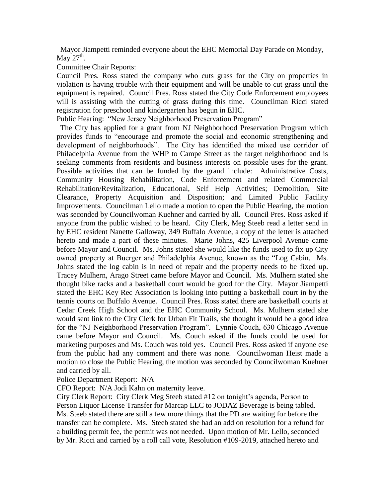Mayor Jiampetti reminded everyone about the EHC Memorial Day Parade on Monday, May  $27<sup>th</sup>$ .

Committee Chair Reports:

Council Pres. Ross stated the company who cuts grass for the City on properties in violation is having trouble with their equipment and will be unable to cut grass until the equipment is repaired. Council Pres. Ross stated the City Code Enforcement employees will is assisting with the cutting of grass during this time. Councilman Ricci stated registration for preschool and kindergarten has begun in EHC.

Public Hearing: "New Jersey Neighborhood Preservation Program"

 The City has applied for a grant from NJ Neighborhood Preservation Program which provides funds to "encourage and promote the social and economic strengthening and development of neighborhoods". The City has identified the mixed use corridor of Philadelphia Avenue from the WHP to Campe Street as the target neighborhood and is seeking comments from residents and business interests on possible uses for the grant. Possible activities that can be funded by the grand include: Administrative Costs, Community Housing Rehabilitation, Code Enforcement and related Commercial Rehabilitation/Revitalization, Educational, Self Help Activities; Demolition, Site Clearance, Property Acquisition and Disposition; and Limited Public Facility Improvements. Councilman Lello made a motion to open the Public Hearing, the motion was seconded by Councilwoman Kuehner and carried by all. Council Pres. Ross asked if anyone from the public wished to be heard. City Clerk, Meg Steeb read a letter send in by EHC resident Nanette Galloway, 349 Buffalo Avenue, a copy of the letter is attached hereto and made a part of these minutes. Marie Johns, 425 Liverpool Avenue came before Mayor and Council. Ms. Johns stated she would like the funds used to fix up City owned property at Buerger and Philadelphia Avenue, known as the "Log Cabin. Ms. Johns stated the log cabin is in need of repair and the property needs to be fixed up. Tracey Mulhern, Arago Street came before Mayor and Council. Ms. Mulhern stated she thought bike racks and a basketball court would be good for the City. Mayor Jiampetti stated the EHC Key Rec Association is looking into putting a basketball court in by the tennis courts on Buffalo Avenue. Council Pres. Ross stated there are basketball courts at Cedar Creek High School and the EHC Community School. Ms. Mulhern stated she would sent link to the City Clerk for Urban Fit Trails, she thought it would be a good idea for the "NJ Neighborhood Preservation Program". Lynnie Couch, 630 Chicago Avenue came before Mayor and Council. Ms. Couch asked if the funds could be used for marketing purposes and Ms. Couch was told yes. Council Pres. Ross asked if anyone ese from the public had any comment and there was none. Councilwoman Heist made a motion to close the Public Hearing, the motion was seconded by Councilwoman Kuehner and carried by all.

Police Department Report: N/A

CFO Report: N/A Jodi Kahn on maternity leave.

City Clerk Report: City Clerk Meg Steeb stated #12 on tonight's agenda, Person to Person Liquor License Transfer for Marcap LLC to JODAZ Beverage is being tabled. Ms. Steeb stated there are still a few more things that the PD are waiting for before the transfer can be complete. Ms. Steeb stated she had an add on resolution for a refund for a building permit fee, the permit was not needed. Upon motion of Mr. Lello, seconded by Mr. Ricci and carried by a roll call vote, Resolution #109-2019, attached hereto and